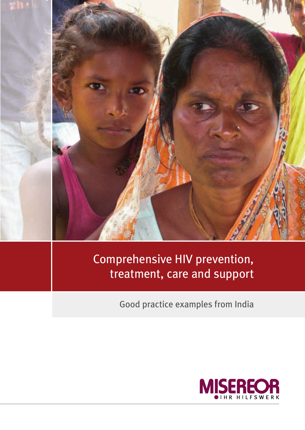

# Comprehensive HIV prevention, treatment, care and support

Good practice examples from India

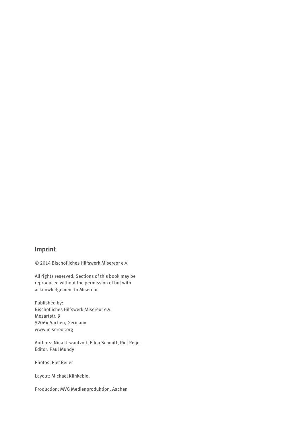## **Imprint**

© 2014 Bischöfliches Hilfswerk Misereor e.V.

All rights reserved. Sections of this book may be reproduced without the permission of but with acknowledgement to Misereor.

Published by: Bischöfliches Hilfswerk Misereor e.V. Mozartstr. 9 52064 Aachen, Germany [www.misereor.org](http://www.misereor.org)

Authors: Nina Urwantzoff, Ellen Schmitt, Piet Reijer Editor: Paul Mundy

Photos: Piet Reijer

Layout: Michael Klinkebiel

Production: MVG Medienproduktion, Aachen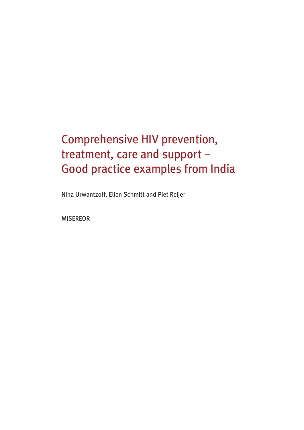# Comprehensive HIV prevention, treatment, care and support – Good practice examples from India

Nina Urwantzoff, Ellen Schmitt and Piet Reijer

MISEREOR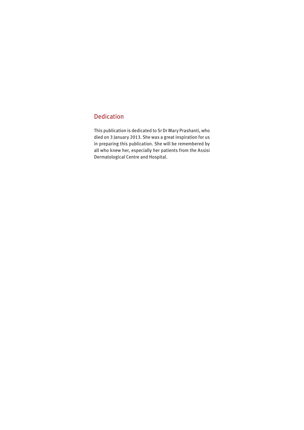## Dedication

This publication is dedicated to Sr Dr Mary Prashanti, who died on 3 January 2013. She was a great inspiration for us in preparing this publication. She will be remembered by all who knew her, especially her patients from the Assisi Dermatological Centre and Hospital.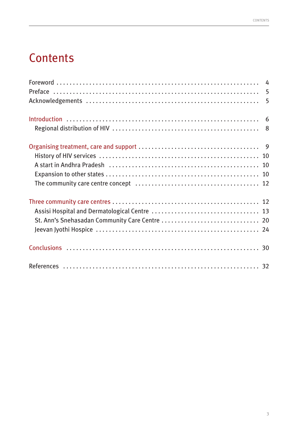# **Contents**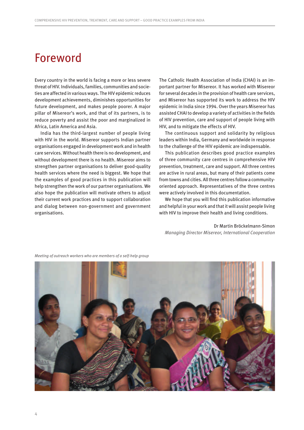# <span id="page-5-0"></span>Foreword

Every country in the world is facing a more or less severe threat of HIV. Individuals, families, communities and societies are affected in various ways. The HIV epidemic reduces development achievements, diminishes opportunities for future development, and makes people poorer. A major pillar of Misereor's work, and that of its partners, is to reduce poverty and assist the poor and marginalized in Africa, Latin America and Asia.

India has the third-largest number of people living with HIV in the world. Misereor supports Indian partner organisations engaged in development work and in health care services. Without health there is no development, and without development there is no health. Misereor aims to strengthen partner organisations to deliver good-quality health services where the need is biggest. We hope that the examples of good practices in this publication will help strengthen the work of our partner organisations. We also hope the publication will motivate others to adjust their current work practices and to support collaboration and dialog between non-government and government organisations.

The Catholic Health Association of India (CHAI) is an important partner for Misereor. It has worked with Misereor for several decades in the provision of health care services, and Misereor has supported its work to address the HIV epidemic in India since 1994. Over the years Misereor has assisted CHAI to develop a variety of activities in the fields of HIV prevention, care and support of people living with HIV, and to mitigate the effects of HIV.

The continuous support and solidarity by religious leaders within India, Germany and worldwide in response to the challenge of the HIV epidemic are indispensable.

This publication describes good practice examples of three community care centres in comprehensive HIV prevention, treatment, care and support. All three centres are active in rural areas, but many of their patients come from towns and cities. All three centres follow a communityoriented approach. Representatives of the three centres were actively involved in this documentation.

We hope that you will find this publication informative and helpful in your work and that it will assist people living with HIV to improve their health and living conditions.

Dr Martin Bröckelmann-Simon *Managing Director Misereor, International Cooperation*



*Meeting of outreach workers who are members of a self-help group*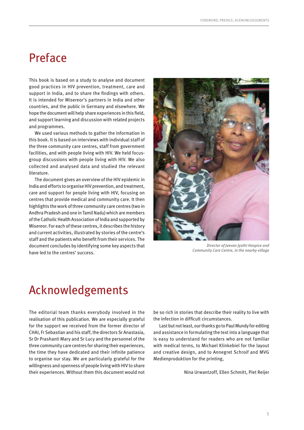# <span id="page-6-0"></span>Preface

This book is based on a study to analyse and document good practices in HIV prevention, treatment, care and support in India, and to share the findings with others. It is intended for Misereor's partners in India and other countries, and the public in Germany and elsewhere. We hope the document will help share experiences in this field, and support learning and discussion with related projects and programmes.

We used various methods to gather the information in this book. It is based on interviews with individual staff of the three community care centres, staff from government facilities, and with people living with HIV. We held focusgroup discussions with people living with HIV. We also collected and analysed data and studied the relevant literature.

The document gives an overview of the HIV epidemic in India and efforts to organise HIV prevention, and treatment, care and support for people living with HIV, focusing on centres that provide medical and community care. It then highlights the work of three community care centres (two in Andhra Pradesh and one in Tamil Nadu) which are members of the Catholic Health Association of India and supported by Misereor. For each of these centres, it describes the history and current activities, illustrated by stories of the centre's staff and the patients who benefit from their services. The document concludes by identifying some key aspects that have led to the centres' success.



*Director of Jeevan Jyothi Hospice and Community Care Centre, in the nearby village*

# Acknowledgements

The editorial team thanks everybody involved in the realisation of this publication. We are especially grateful for the support we received from the former director of CHAI, Fr Sebastian and his staff, the directors Sr Anastasia, Sr Dr Prashanti Mary and Sr Lucy and the personnel of the three community care centres for sharing their experiences, the time they have dedicated and their infinite patience to organise our stay. We are particularly grateful for the willingness and openness of people living with HIV to share their experiences. Without them this document would not

be so rich in stories that describe their reality to live with the infection in difficult circumstances.

Last but not least, our thanks go to Paul Mundy for editing and assistance in formulating the text into a language that is easy to understand for readers who are not familiar with medical terms, to Michael Klinkebiel for the layout and creative design, and to Annegret Schroif and MVG Medienproduktion for the printing,

Nina Urwantzoff, Ellen Schmitt, Piet Reijer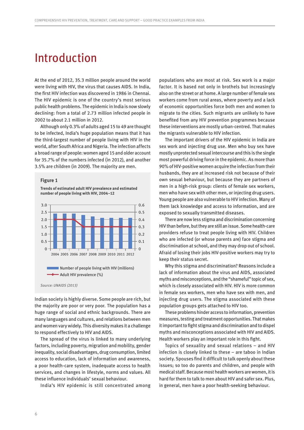# <span id="page-7-0"></span>Introduction

At the end of 2012, 35.3 million people around the world were living with HIV, the virus that causes AIDS. In India, the first HIV infection was discovered in 1986 in Chennai. The HIV epidemic is one of the country's most serious public health problems. The epidemic in India is now slowly declining: from a total of 2.73 million infected people in 2002 to about 2.1 million in 2012.

Although only 0.3% of adults aged 15 to 49 are thought to be infected, India's huge population means that it has the third-largest number of people living with HIV in the world, after South Africa and Nigeria. The infection affects a broad range of people: women aged 15 and older account for 35.7% of the numbers infected (in 2012), and another 3.5% are children (in 2009). The majority are men.

#### **Figure 1**

**Trends of estimated adult HIV prevalence and estimated number of people living with HIV, 2004–12**



Indian society is highly diverse. Some people are rich, but the majority are poor or very poor. The population has a huge range of social and ethnic backgrounds. There are many languages and cultures, and relations between men and women vary widely. This diversity makes it a challenge to respond effectively to HIV and AIDS.

The spread of the virus is linked to many underlying factors, including poverty, migration and mobility, gender inequality, social disadvantages, drug consumption, limited access to education, lack of information and awareness, a poor health-care system, inadequate access to health services, and changes in lifestyle, norms and values. All these influence individuals' sexual behaviour.

India's HIV epidemic is still concentrated among

populations who are most at risk. Sex work is a major factor. It is based not only in brothels but increasingly also on the street or at home. A large number of female sex workers come from rural areas, where poverty and a lack of economic opportunities force both men and women to migrate to the cities. Such migrants are unlikely to have benefited from any HIV prevention programmes because these interventions are mostly urban-centred. That makes the migrants vulnerable to HIV infection.

The important drivers of the HIV epidemic in India are sex work and injecting drug use. Men who buy sex have mostly unprotected sexual intercourse and this is the single most powerful driving force in the epidemic. As more than 90% of HIV-positive women acquire the infection from their husbands, they are at increased risk not because of their own sexual behaviour, but because they are partners of men in a high-risk group: clients of female sex workers, men who have sex with other men, or injecting drug users. Young people are also vulnerable to HIV infection. Many of them lack knowledge and access to information, and are exposed to sexually transmitted diseases.

There are now less stigma and discrimination concerning HIV than before, but they are still an issue. Some health-care providers refuse to treat people living with HIV. Children who are infected (or whose parents are) face stigma and discrimination at school, and they may drop out of school. Afraid of losing their jobs HIV-positive workers may try to keep their status secret.

Why this stigma and discrimination? Reasons include a lack of information about the virus and AIDS, associated myths and misconceptions, and the "shameful" topic of sex, which is closely associated with HIV. HIV is more common in female sex workers, men who have sex with men, and injecting drug users. The stigma associated with these population groups gets attached to HIV too.

These problems hinder access to information, prevention measures, testing and treatment opportunities. That makes it important to fight stigma and discrimination and to dispel myths and misconceptions associated with HIV and AIDS. Health workers play an important role in this fight.

Topics of sexuality and sexual relations – and HIV infection is closely linked to these – are taboo in Indian society. Spouses find it difficult to talk openly about these issues; so too do parents and children, and people with medical staff. Because most health workers are women, it is hard for them to talk to men about HIV and safer sex. Plus, in general, men have a poor health-seeking behaviour.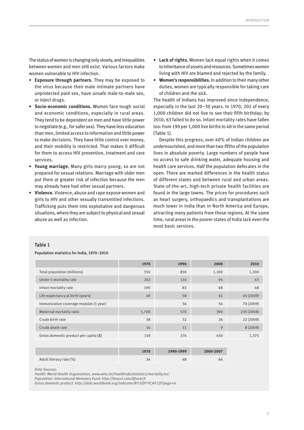The status of women is changing only slowly, and inequalities between women and men still exist. Various factors make women vulnerable to HIV infection.

- **Exposure through partners.** They may be exposed to the virus because their male intimate partners have unprotected paid sex, have unsafe male-to-male sex, or inject drugs.
- **Socio-economic conditions.** Women face tough social and economic conditions, especially in rural areas. They tend to be dependent on men and have little power to negotiate (e.g., for safer sex). They have less education than men, limited access to information and little power to make decisions. They have little control over money, and their mobility is restricted. That makes it difficult for them to access HIV prevention, treatment and care services.
- **Young marriage.** Many girls marry young, so are not prepared for sexual relations. Marriage with older men put them at greater risk of infection because the men may already have had other sexual partners.
- **Violence.** Violence, abuse and rape expose women and girls to HIV and other sexually transmitted infections. Trafficking puts them into exploitative and dangerous situations, where they are subject to physical and sexual abuse as well as infection.
- **Lack of rights.** Women lack equal rights when it comes to inheritance of assets and resources. Sometimes women living with HIV are blamed and rejected by the family.
- **Women's responsibilities.** In addition to their many other duties, women are typically responsible for taking care of children and the sick.

The health of Indians has improved since independence, especially in the last 20–30 years. In 1970, 202 of every 1,000 children did not live to see their fifth birthday; by 2010, 63 failed to do so. Infant mortality rates have fallen too: from 190 per 1,000 live births to 48 in the same period (Table 1).

Despite this progress, over 40% of Indian children are undernourished, and more than two-fifths of the population lives in absolute poverty. Large numbers of people have no access to safe drinking water, adequate housing and health care services. Half the population defecates in the open. There are marked differences in the health status of different states and between rural and urban areas. State-of-the-art, high-tech private health facilities are found in the large towns. The prices for procedures such as heart surgery, orthopaedics and transplantations are much lower in India than in North America and Europe, attracting many patients from these regions. At the same time, rural areas in the poorer states of India lack even the most basic services.

#### **Table 1**

**Population statistics for India, 1970–2010**

|                                        | 1970  | 1990 | 2000  | 2010       |
|----------------------------------------|-------|------|-------|------------|
| Total population (millions)            | 550   | 850  | 1,100 | 1,200      |
| Under-5 mortality rate                 | 202   | 116  | 94    | 63         |
| Infant mortality rate                  | 190   | 83   | 68    | 48         |
| Life expectancy at birth (years)       | 49    | 58   | 61    | 65 (2009)  |
| Immunization coverage measles (1 year) |       | 56   | 54    | 70 (2009)  |
| Maternal mortality ratio               | 1,700 | 570  | 390   | 230 (2008) |
| Crude birth rate                       | 38    | 32   | 26    | 22 (2009)  |
| Crude death rate                       | 16    | 11   | 9     | 8(2009)    |
| Gross domestic product per capita (\$) | 110   | 374  | 450   | 1,375      |

|                         | 1970 | 1990-1999 | 2000-2007 |
|-------------------------|------|-----------|-----------|
| Adult literacy rate (%) | 34   | 48        | 66        |

*Data Sources:*

*Health: World Health Organization; [www.who.int/healthinfo/statistics/mortality/en/](http://www.who.int/healthinfo/statistics/mortality/en/)*

*Population: International Monetary Fund: <http://tinyurl.com/8fnu4c9>*

*Gross domestic product: <http://data.worldbank.org/indicator/NY.GDP.PCAP.CD?page=6>*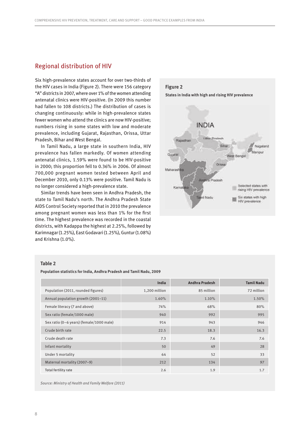## <span id="page-9-0"></span>Regional distribution of HIV

Six high-prevalence states account for over two-thirds of the HIV cases in India (Figure 2). There were 156 category "A" districts in 2007, where over 1% of the women attending antenatal clinics were HIV-positive. (In 2009 this number had fallen to 108 districts.) The distribution of cases is changing continuously: while in high-prevalence states fewer women who attend the clinics are now HIV-positive; numbers rising in some states with low and moderate prevalence, including Gujarat, Rajasthan, Orissa, Uttar Pradesh, Bihar and West Bengal.

In Tamil Nadu, a large state in southern India, HIV prevalence has fallen markedly. Of women attending antenatal clinics, 1.59% were found to be HIV-positive in 2000; this proportion fell to 0.36% in 2006. Of almost 700,000 pregnant women tested between April and December 2010, only 0.13% were positive. Tamil Nadu is no longer considered a high-prevalence state.

Similar trends have been seen in Andhra Pradesh, the state to Tamil Nadu's north. The Andhra Pradesh State AIDS Control Society reported that in 2010 the prevalence among pregnant women was less than 1% for the first time. The highest prevalence was recorded in the coastal districts, with Kadappa the highest at 2.25%, followed by Karimnagar (1.25%), East Godavari (1.25%), Guntur (1.08%) and Krishna (1.0%).



#### **Table 2**

**Population statistics for India, Andhra Pradesh and Tamil Nadu, 2009**

|                                          | India         | <b>Andhra Pradesh</b> | <b>Tamil Nadu</b> |
|------------------------------------------|---------------|-----------------------|-------------------|
| Population (2011, rounded figures)       | 1,200 million | 85 million            | 72 million        |
| Annual population growth (2001-11)       | 1.60%         | 1.10%                 | 1.50%             |
| Female literacy (7 and above)            | 74%           | 68%                   | 80%               |
| Sex ratio (female/1000 male)             | 940           | 992                   | 995               |
| Sex ratio (0-6 years) (female/1000 male) | 914           | 943                   | 946               |
| Crude birth rate                         | 22.5          | 18.3                  | 16.3              |
| Crude death rate                         | 7.3           | 7.6                   | 7.6               |
| Infant mortality                         | 50            | 49                    | 28                |
| Under 5 mortality                        | 64            | 52                    | 33                |
| Maternal mortality (2007-9)              | 212           | 134                   | 97                |
| Total fertility rate                     | 2.6           | 1.9                   | 1.7               |

*Source: Ministry of Health and Family Welfare (2011)*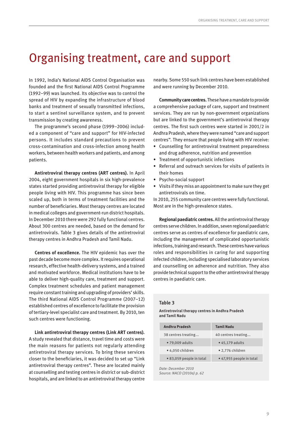# <span id="page-10-0"></span>Organising treatment, care and support

In 1992, India's National AIDS Control Organisation was founded and the first National AIDS Control Programme (1992–99) was launched. Its objective was to control the spread of HIV by expanding the infrastructure of blood banks and treatment of sexually transmitted infections, to start a sentinel surveillance system, and to prevent transmission by creating awareness.

The programme's second phase (1999–2006) included a component of "care and support" for HIV-infected persons. It includes standard precautions to prevent cross-contamination and cross-infection among health workers, between health workers and patients, and among patients.

**Antiretroviral therapy centres (ART centres).** In April 2004, eight government hospitals in six high-prevalence states started providing antiretroviral therapy for eligible people living with HIV. This programme has since been scaled up, both in terms of treatment facilities and the number of beneficiaries. Most therapy centres are located in medical colleges and government-run district hospitals. In December 2010 there were 292 fully functional centres. About 300 centres are needed, based on the demand for antiretrovirals. Table 3 gives details of the antiretroviral therapy centres in Andhra Pradesh and Tamil Nadu.

**Centres of excellence.** The HIV epidemic has over the past decade become more complex. It requires operational research, effective health-delivery systems, and a trained and motivated workforce. Medical institutions have to be able to deliver high-quality care, treatment and support. Complex treatment schedules and patient management require constant training and upgrading of providers' skills. The third National AIDS Control Programme (2007–12) established centres of excellence to facilitate the provision of tertiary-level specialist care and treatment. By 2010, ten such centres were functioning.

**Link antiretroviral therapy centres (Link ART centres).** A study revealed that distance, travel time and costs were the main reasons for patients not regularly attending antiretroviral therapy services. To bring these services closer to the beneficiaries, it was decided to set up "Link antiretroviral therapy centres". These are located mainly at counselling and testing centres in district or sub-district hospitals, and are linked to an antiretroviral therapy centre nearby. Some 550 such link centres have been established and were running by December 2010.

**Community care centres.** These have a mandate to provide a comprehensive package of care, support and treatment services. They are run by non-government organizations but are linked to the government's antiretroviral therapy centres. The first such centres were started in 2001/2 in Andhra Pradesh, where they were named "care and support centres". They ensure that people living with HIV receive:

- Counselling for antiretroviral treatment preparedness and drug adherence, nutrition and prevention
- Treatment of opportunistic infections
- Referral and outreach services for visits of patients in their homes
- Psycho-social support
- Visits if they miss an appointment to make sure they get antiretrovirals on time.

In 2010, 255 community care centres were fully functional. Most are in the high-prevalence states.

**Regional paediatric centres.** All the antiretroviral therapy centres serve children. In addition, seven regional paediatric centres serve as centres of excellence for paediatric care, including the management of complicated opportunistic infections, training and research. These centres have various roles and responsibilities in caring for and supporting infected children, including specialised laboratory services and counselling on adherence and nutrition. They also provide technical support to the other antiretroviral therapy centres in paediatric care.

## **Table 3**

**Antiretroviral therapy centres in Andhra Pradesh and Tamil Nadu**

| <b>Andhra Pradesh</b>    | <b>Tamil Nadu</b>        |
|--------------------------|--------------------------|
| 38 centres treating      | 40 centres treating      |
| • 79,009 adults          | • 45,179 adults          |
| • 4,050 children         | • 2,776 children         |
| • 83,059 people in total | • 47,955 people in total |

*Date: December 2010 Source: NACO (2010a) p. 62*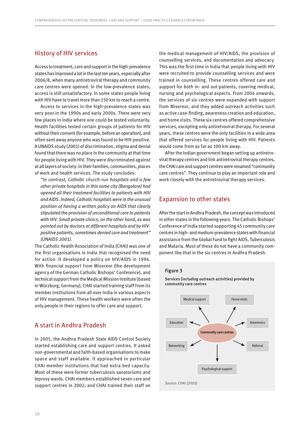## <span id="page-11-0"></span>History of HIV services

Access to treatment, care and support in the high-prevalence states has improved a lot in the last ten years, especially after 2006/8, when many antiretroviral therapy and community care centres were opened. In the low-prevalence states, access is still unsatisfactory. In some states people living with HIV have to travel more than 150 km to reach a centre.

Access to services in the high-prevalence states was very poor in the 1990s and early 2000s. There were very few places in India where one could be tested voluntarily. Health facilities tested certain groups of patients for HIV without their consent (for example, before an operation), and often sent away anyone who was found to be HIV-positive. A UNAIDS study (2001) of discrimination, stigma and denial found that there was no place in the community at that time for people living with HIV. They were discriminated against at all layers of society: in their families, communities, places of work and health services. The study concludes:

*"In contrast, Catholic church-run hospitals and a few other private hospitals in this same city (Bangalore) had opened all their treatment facilities to patients with HIV and AIDS. Indeed, Catholic hospitals were in the unusual position of having a written policy on AIDS that clearly stipulated the provision of unconditional care to patients with HIV. Small private clinics, on the other hand, as was pointed out by doctors at different hospitals and by HIVpositive patients, sometimes denied care and treatment" (UNAIDS 2001).*

The Catholic Health Association of India (CHAI) was one of the first organisations in India that recognised the need for action. It developed a policy on HIV/AIDS in 1994. With financial support from Misereor (the development agency of the German Catholic Bishops' Conference), and technical support from the Medical Mission Institute (based in Würzburg, Germany), CHAI started training staff from its member institutions from all over India in various aspects of HIV management. These health workers were often the only people in their regions to offer care and support.

## A start in Andhra Pradesh

In 2001, the Andhra Pradesh State AIDS Control Society started establishing care and support centres. It asked non-governmental and faith-based organisations to make space and staff available. It approached in particular CHAI member institutions that had extra bed capacity. Most of these were former tuberculosis sanatoriums and leprosy wards. CHAI members established seven care and support centres in 2002, and CHAI trained their staff on

the medical management of HIV/AIDS, the provision of counselling services, and documentation and advocacy. This was the first time in India that people living with HIV were recruited to provide counselling services and were trained in counselling. These centres offered care and support for both in- and out-patients, covering medical, nursing and psychological aspects. From 2004 onwards, the services of six centres were expanded with support from Misereor, and they added outreach activities such as active case-finding, awareness creation and education, and home visits. These six centres offered comprehensive services, excepting only antiretroviral therapy. For several years, these centres were the only facilities in a wide area that offered services for people living with HIV. Patients would come from as far as 100 km away.

After the Indian government began setting up antiretroviral therapy centres and link antiretroviral therapy centres, the CHAI care and support centres were renamed "community care centres". They continue to play an important role and work closely with the antiretroviral therapy services.

## Expansion to other states

After the start in Andhra Pradesh, the concept was introduced in other states in the following years. The Catholic Bishops' Conference of India started supporting 45 community care centres in high- and medium-prevalence states with financial assistance from the Global Fund to fight AIDS, Tuberculosis and Malaria. Most of these do not have a community component like that in the six centres in Andhra Pradesh.

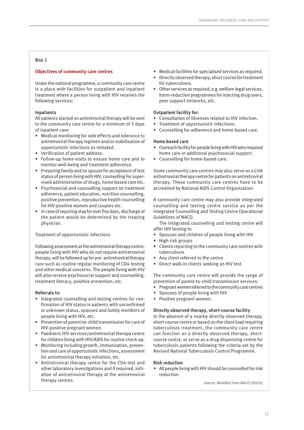## **Box 1**

## **Objectives of community care centres**

Under the national programme, a community care centre is a place with facilities for outpatient and inpatient treatment where a person living with HIV receives the following services:

## **Inpatients**

All patients started on antiretroviral therapy will be sent to the community care centre for a minimum of 5 days of inpatient care:

- Medical monitoring for side effects and tolerance to antiretroviral therapy regimen and/or stabilisation of opportunistic infections as initiated.
- Verification of patient address.
- Follow-up home-visits to ensure home care and to monitor well-being and treatment adherence.
- Preparing family and/or spouse for acceptance of test status of person living with HIV, counselling for supervised administration of drugs, home based care etc.
- Psychosocial and counselling support on treatment adherence, patient education, nutrition counselling, positive prevention, reproductive health counselling for HIV-positive women and couples etc.
- In case of requiring stay for over five days, discharge of the patient would be determined by the treating physician.

### Treatment of opportunistic infections

Following assessment at the antiretroviral therapy centre, people living with HIV who do not require antiretroviral therapy, will be followed up for pre- antiretroviral therapy care such as routine regular monitoring of CD4 testing and other medical concerns. The people living with HIV will also receive psychosocial support and counselling, treatment literacy, positive prevention, etc.

## **Referrals to:**

- Integrated counselling and testing centres for confirmation of HIV status in patients with unconfirmed or unknown status, spouses and family members of people living with HIV, etc.
- Prevention of parent-to-child transmission for care of HIV-positive pregnant women.
- Paediatric HIV services/antiretroviral therapy centre for children living with HIV/AIDS for routine check-up.
- Monitoring including growth, immunization, prevention and care of opportunistic infections, assessment for antiretroviral therapy initiation, etc.
- Antiretroviral therapy centre for the CD4 test and other laboratory investigations and if required, initiation of antiretroviral therapy at the antiretroviral therapy centres.
- Medical facilities for specialised services as required.
- Directly observed therapy, short course for treatment for tuberculosis.
- Other services as required, e.g. welfare-legal services, harm-reduction programmes for injecting drug users, peer support networks, etc.

## **Outpatient facility for:**

- Consultation of illnesses related to HIV infection.
- Treatment of opportunistic infections.
- Counselling for adherence and home-based care.

## **Home based care**

- Outreach facility for people living with HIV who required home care or additional psychosocial support.
- Counselling for home-based care.

Some community care centres may also serve as a Link antiretroviral therapy centre for patients on antiretroviral therapy. These community care centres have to be accredited by National AIDS Control Organization.

A community care centre may also provide integrated counselling and testing centre service as per the Integrated Counselling and Testing Centre Operational Guidelines of NACO.

The integrated counselling and testing centre will offer HIV testing to

- Spouses and children of people living with HIV
- High risk groups
- Clients reporting to the community care centres with tuberculosis
- Any client referred to the centre
- Direct walk-in clients seeking an HIV test

The community care centre will provide the range of prevention of parent-to-child transmission services:

- Pregnant women referred to the community care centres
- Spouses of people living with HIV
- Positive pregnant women.

### **Directly observed therapy, short-course facility**

In the absence of a nearby directly observed therapy, short-course centre or based on the client load requiring tuberculosis treatment, the community care centre can function as a directly observed therapy, shortcourse centre, or serve as a drug dispensing centre for tuberculosis patients following the criteria set by the Revised National Tuberculosis Control Programme.

### **Risk reduction**

• All people living with HIV should be counselled for risk reduction.

*Source: Modified from NACO (2007a)*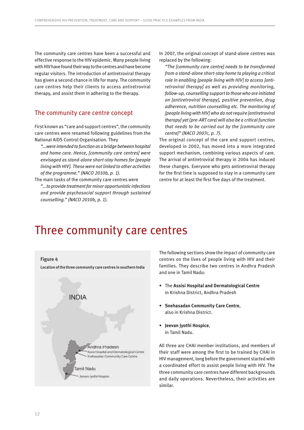<span id="page-13-0"></span>The community care centres have been a successful and effective response to the HIV epidemic. Many people living with HIV have found their way to the centres and have become regular visitors. The introduction of antiretroviral therapy has given a second chance in life for many. The community care centres help their clients to access antiretroviral therapy, and assist them in adhering to the therapy.

## The community care centre concept

First known as "care and support centres", the community care centres were renamed following guidelines from the National AIDS Control Organisation. They

*"...were intended to function as a bridge between hospital and home care. Hence, [community care centres] were envisaged as stand-alone short-stay homes for [people living with HIV]. These were not linked to other activities of the programme." (NACO 2010b, p. 1).*

The main tasks of the community care centres were *"...to provide treatment for minor opportunistic infections and provide psychosocial support through sustained counselling." (NACO 2010b, p. 1).*

In 2007, the original concept of stand-alone centres was replaced by the following:

*"The [community care centre] needs to be transformed from a stand-alone short-stay home to playing a critical role in enabling [people living with HIV] to access [antiretroviral therapy] as well as providing monitoring, follow-up, counselling support to those who are initiated on [antiretroviral therapy], positive prevention, drug adherence, nutrition counselling etc. The monitoring of [people living with HIV] who do not require [antiretroviral therapy] yet (pre-ART care) will also be a critical function that needs to be carried out by the [community care centre]" (NACO 2007c, p. 7).*

The original concept of the care and support centres, developed in 2002, has moved into a more integrated support mechanism, combining various aspects of care. The arrival of antiretroviral therapy in 2004 has induced these changes. Everyone who gets antiretroviral therapy for the first time is supposed to stay in a community care centre for at least the first five days of the treatment.

# Three community care centres



The following sections show the impact of community care centres on the lives of people living with HIV and their families. They describe two centres in Andhra Pradesh and one in Tamil Nadu:

- The **Assisi Hospital and Dermatological Centre** in Krishna District, Andhra Pradesh
- **Snehasadan Community Care Centre**, also in Krishna District.
- **Jeevan Jyothi Hospice**, in Tamil Nadu.

All three are CHAI member institutions, and members of their staff were among the first to be trained by CHAI in HIV management, long before the government started with a coordinated effort to assist people living with HIV. The three community care centres have different backgrounds and daily operations. Nevertheless, their activities are similar.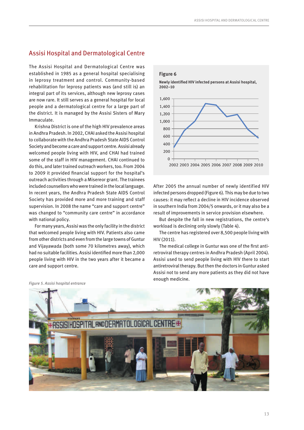## <span id="page-14-0"></span>Assisi Hospital and Dermatological Centre

The Assisi Hospital and Dermatological Centre was established in 1985 as a general hospital specialising in leprosy treatment and control. Community-based rehabilitation for leprosy patients was (and still is) an integral part of its services, although new leprosy cases are now rare. It still serves as a general hospital for local people and a dermatological centre for a large part of the district. It is managed by the Assisi Sisters of Mary Immaculate.

Krishna District is one of the high HIV prevalence areas in Andhra Pradesh. In 2002, CHAI asked the Assisi hospital to collaborate with the Andhra Pradesh State AIDS Control Society and become a care and support centre. Assisi already welcomed people living with HIV, and CHAI had trained some of the staff in HIV management. CHAI continued to do this, and later trained outreach workers, too. From 2004 to 2009 it provided financial support for the hospital's outreach activities through a Misereor grant. The trainees included counsellors who were trained in the local language. In recent years, the Andhra Pradesh State AIDS Control Society has provided more and more training and staff supervision. In 2008 the name "care and support centre" was changed to "community care centre" in accordance with national policy.

For many years, Assisi was the only facility in the district that welcomed people living with HIV. Patients also came from other districts and even from the large towns of Guntur and Vijayawada (both some 70 kilometres away), which had no suitable facilities. Assisi identified more than 2,000 people living with HIV in the two years after it became a care and support centre.



After 2005 the annual number of newly identified HIV infected persons dropped (Figure 6). This may be due to two causes: it may reflect a decline in HIV incidence observed in southern India from 2004/5 onwards, or it may also be a result of improvements in service provision elsewhere.

But despite the fall in new registrations, the centre's workload is declining only slowly (Table 4).

The centre has registered over 8,500 people living with HIV (2011).

The medical college in Guntur was one of the first antiretroviral therapy centres in Andhra Pradesh (April 2004). Assisi used to send people living with HIV there to start antiretroviral therapy. But then the doctors in Guntur asked Assisi not to send any more patients as they did not have enough medicine.



*Figure 5. Assisi hospital entrance*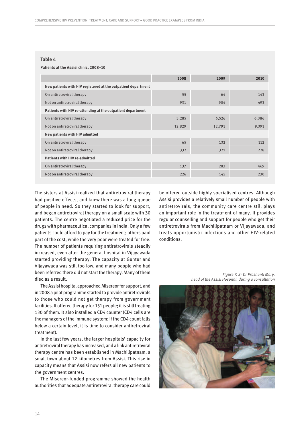#### **Table 4**

#### **Patients at the Assisi clinic, 2008–10**

|                                                               | 2008   | 2009   | 2010  |  |  |  |
|---------------------------------------------------------------|--------|--------|-------|--|--|--|
| New patients with HIV registered at the outpatient department |        |        |       |  |  |  |
| On antiretroviral therapy                                     | 55     | 64     | 143   |  |  |  |
| Not on antiretroviral therapy                                 | 931    | 904    | 493   |  |  |  |
| Patients with HIV re-attending at the outpatient department   |        |        |       |  |  |  |
| On antiretroviral therapy                                     | 3,285  | 5,526  | 6,386 |  |  |  |
| Not on antiretroviral therapy                                 | 12,829 | 12,791 | 9,391 |  |  |  |
| <b>New patients with HIV admitted</b>                         |        |        |       |  |  |  |
| On antiretroviral therapy                                     | 65     | 132    | 112   |  |  |  |
| Not on antiretroviral therapy                                 | 332    | 321    | 228   |  |  |  |
| <b>Patients with HIV re-admitted</b>                          |        |        |       |  |  |  |
| On antiretroviral therapy                                     | 137    | 283    | 469   |  |  |  |
| Not on antiretroviral therapy                                 | 226    | 145    | 230   |  |  |  |

The sisters at Assisi realized that antiretroviral therapy had positive effects, and knew there was a long queue of people in need. So they started to look for support, and began antiretroviral therapy on a small scale with 30 patients. The centre negotiated a reduced price for the drugs with pharmaceutical companies in India. Only a few patients could afford to pay for the treatment; others paid part of the cost, while the very poor were treated for free. The number of patients requiring antiretrovirals steadily increased, even after the general hospital in Vijayawada started providing therapy. The capacity at Guntur and Vijayawada was still too low, and many people who had been referred there did not start the therapy. Many of them died as a result.

The Assisi hospital approached Misereor for support, and in 2008 a pilot programme started to provide antiretrovirals to those who could not get therapy from government facilities. It offered therapy for 151 people; it is still treating 130 of them. It also installed a CD4 counter (CD4 cells are the managers of the immune system: if the CD4 count falls below a certain level, it is time to consider antiretroviral treatment).

In the last few years, the larger hospitals' capacity for antiretroviral therapy has increased, and a link antiretroviral therapy centre has been established in Machilipatnam, a small town about 12 kilometres from Assisi. This rise in capacity means that Assisi now refers all new patients to the government centres.

The Misereor-funded programme showed the health authorities that adequate antiretroviral therapy care could be offered outside highly specialised centres. Although Assisi provides a relatively small number of people with antiretrovirals, the community care centre still plays an important role in the treatment of many. It provides regular counselling and support for people who get their antiretrovirals from Machilipatnam or Vijayawada, and treats opportunistic infections and other HIV-related conditions.

*Figure 7. Sr Dr Prashanti Mary, head of the Assisi Hospital, during a consultation*

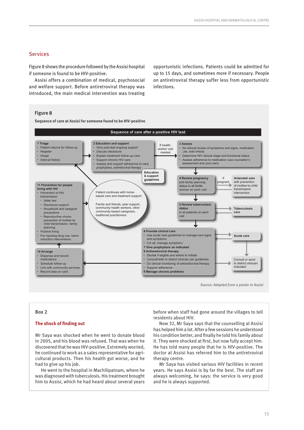## Services

Figure 8 shows the procedure followed by the Assisi hospital if someone is found to be HIV-positive.

Assisi offers a combination of medical, psychosocial and welfare support. Before antiretroviral therapy was introduced, the main medical intervention was treating

opportunistic infections. Patients could be admitted for up to 15 days, and sometimes more if necessary. People on antiretroviral therapy suffer less from opportunistic infections.

### **Figure 8**

**Sequence of care at Assisi for someone found to be HIV-positive**



*Source: Adapted from a poster in Assisi*

#### **Box 2**

#### **The shock of finding out**

Mr Saya was shocked when he went to donate blood in 2005, and his blood was refused. That was when he discovered that he was HIV-positive. Extremely worried, he continued to work as a sales representative for agricultural products. Then his health got worse, and he had to give up his job.

He went to the hospital in Machilipatnam, where he was diagnosed with tuberculosis. His treatment brought him to Assisi, which he had heard about several years

before when staff had gone around the villages to tell residents about HIV.

Now 32, Mr Saya says that the counselling at Assisi has helped him a lot. After a few sessions he understood his condition better, and finally he told his family about it. They were shocked at first, but now fully accept him. He has told many people that he is HIV-positive. The doctor at Assisi has referred him to the antiretroviral therapy centre.

Mr Saya has visited various HIV facilities in recent years. He says Assisi is by far the best. The staff are always welcoming, he says: the service is very good and he is always supported.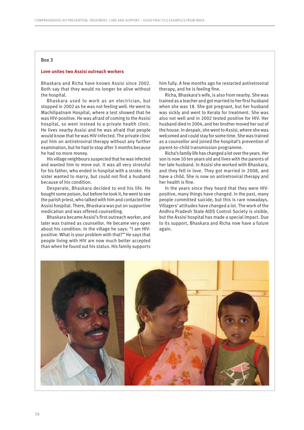#### **Box 3**

## **Love unites two Assisi outreach workers**

Bhaskara and Richa have known Assisi since 2002. Both say that they would no longer be alive without the hospital.

Bhaskara used to work as an electrician, but stopped in 2002 as he was not feeling well. He went to Machilipatnam Hospital, where a test showed that he was HIV-positive. He was afraid of coming to the Assisi hospital, so went instead to a private health clinic. He lives nearby Assisi and he was afraid that people would know that he was HIV-infected. The private clinic put him on antiretroviral therapy without any further examination, but he had to stop after 3 months because he had no more money.

His village neighbours suspected that he was infected and wanted him to move out. It was all very stressful for his father, who ended in hospital with a stroke. His sister wanted to marry, but could not find a husband because of his condition.

Desperate, Bhaskara decided to end his life. He bought some poison, but before he took it, he went to see the parish priest, who talked with him and contacted the Assisi hospital. There, Bhaskara was put on supportive medication and was offered counselling.

Bhaskara became Assisi's first outreach worker, and later was trained as counsellor. He became very open about his condition. In the village he says: "I am HIVpositive. What is your problem with that?" He says that people living with HIV are now much better accepted than when he found out his status. His family supports him fully. A few months ago he restarted antiretroviral therapy, and he is feeling fine.

Richa, Bhaskara's wife, is also from nearby. She was trained as a teacher and got married to her first husband when she was 18. She got pregnant, but her husband was sickly and went to Kerala for treatment. She was also not well and in 2002 tested positive for HIV. Her husband died in 2004, and her brother moved her out of the house. In despair, she went to Assisi, where she was welcomed and could stay for some time. She was trained as a counsellor and joined the hospital's prevention of parent-to-child transmission programme.

Richa's family life has changed a lot over the years. Her son is now 10 ten years old and lives with the parents of her late husband. In Assisi she worked with Bhaskara, and they fell in love. They got married in 2008, and have a child. She is now on antiretroviral therapy and her health is fine.

In the years since they heard that they were HIVpositive, many things have changed. In the past, many people committed suicide, but this is rare nowadays. Villagers' attitudes have changed a lot. The work of the Andhra Pradesh State AIDS Control Society is visible, but the Assisi hospital has made a special impact. Due to its support, Bhaskara and Richa now have a future again.

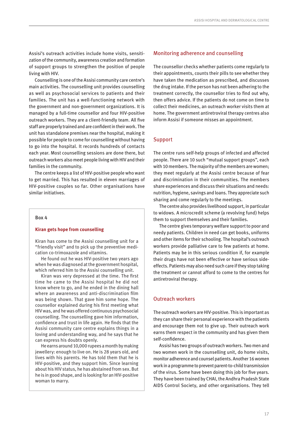Assisi's outreach activities include home visits, sensitization of the community, awareness creation and formation of support groups to strengthen the position of people living with HIV.

Counselling is one of the Assisi community care centre's main activities. The counselling unit provides counselling as well as psychosocial services to patients and their families. The unit has a well-functioning network with the government and non-government organizations. It is managed by a full-time counsellor and four HIV-positive outreach workers. They are a client-friendly team. All five staff are properly trained and are confident in their work. The unit has standalone premises near the hospital, making it possible for people to come for counselling without having to go into the hospital. It records hundreds of contacts each year. Most counselling sessions are done there, but outreach workers also meet people living with HIV and their families in the community.

The centre keeps a list of HIV-positive people who want to get married. This has resulted in eleven marriages of HIV-positive couples so far. Other organisations have similar initiatives.

#### **Box 4**

#### **Kiran gets hope from counselling**

Kiran has come to the Assisi counselling unit for a "friendly visit" and to pick up the preventive medication co-trimoxazole and vitamins.

He found out he was HIV-positive two years ago when he was diagnosed at the government hospital, which referred him to the Assisi counselling unit.

Kiran was very depressed at the time. The first time he came to the Assisi hospital he did not know where to go, and he ended in the dining hall where an awareness and anti-discrimination film was being shown. That gave him some hope. The counsellor explained during his first meeting what HIV was, and he was offered continuous psychosocial counselling. The counselling gave him information, confidence and trust in life again. He finds that the Assisi community care centre explains things in a loving and understanding way, and he says that he can express his doubts openly.

He earns around 10,000 rupees a month by making jewellery: enough to live on. He is 28 years old, and lives with his parents. He has told them that he is HIV-positive, and they support him. Since learning about his HIV status, he has abstained from sex. But he is in good shape, and is looking for an HIV-positive woman to marry.

## Monitoring adherence and counselling

The counsellor checks whether patients come regularly to their appointments, counts their pills to see whether they have taken the medication as prescribed, and discusses the drug intake. If the person has not been adhering to the treatment correctly, the counsellor tries to find out why, then offers advice. If the patients do not come on time to collect their medicines, an outreach worker visits them at home. The government antiretroviral therapy centres also inform Assisi if someone misses an appointment.

## Support

The centre runs self-help groups of infected and affected people. There are 10 such "mutual support groups", each with 10 members. The majority of the members are women; they meet regularly at the Assisi centre because of fear and discrimination in their communities. The members share experiences and discuss their situations and needs: nutrition, hygiene, savings and loans. They appreciate such sharing and come regularly to the meetings.

The centre also provides livelihood support, in particular to widows. A microcredit scheme (a revolving fund) helps them to support themselves and their families.

The centre gives temporary welfare support to poor and needy patients. Children in need can get books, uniforms and other items for their schooling. The hospital's outreach workers provide palliative care to few patients at home. Patients may be in this serious condition if, for example their drugs have not been effective or have serious sideeffects. Patients may also need such care if they stop taking the treatment or cannot afford to come to the centres for antiretroviral therapy.

## Outreach workers

The outreach workers are HIV-positive. This is important as they can share their personal experience with the patients and encourage them not to give up. Their outreach work earns them respect in the community and has given them self-confidence.

Assisi has two groups of outreach workers. Two men and two women work in the counselling unit, do home visits, monitor adherence and counsel patients. Another 16 women work in a programme to prevent parent-to-child transmission of the virus. Some have been doing this job for five years. They have been trained by CHAI, the Andhra Pradesh State AIDS Control Society, and other organisations. They tell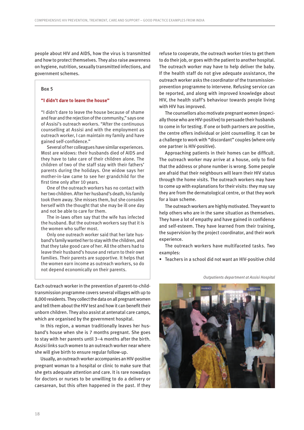people about HIV and AIDS, how the virus is transmitted and how to protect themselves. They also raise awareness on hygiene, nutrition, sexually transmitted infections, and government schemes.

#### **Box 5**

#### **"I didn't dare to leave the house"**

"I didn't dare to leave the house because of shame and fear and the rejection of the community," says one of Assisi's outreach workers. "After the continuous counselling at Assisi and with the employment as outreach worker, I can maintain my family and have gained self-confidence."

Several of her colleagues have similar experiences. Most are widows: their husbands died of AIDS and they have to take care of their children alone. The children of two of the staff stay with their fathers' parents during the holidays. One widow says her mother-in-law came to see her grandchild for the first time only after 10 years.

One of the outreach workers has no contact with her two children. After her husband's death, his family took them away. She misses them, but she consoles herself with the thought that she may be ill one day and not be able to care for them.

The in-laws often say that the wife has infected the husband. But the outreach workers say that it is the women who suffer most.

Only one outreach worker said that her late husband's family wanted her to stay with the children, and that they take good care of her. All the others had to leave their husband's house and return to their own families. Their parents are supportive. It helps that the women earn income as outreach workers, so do not depend economically on their parents.

Each outreach worker in the prevention of parent-to-childtransmission programme covers several villages with up to 8,000 residents. They collect the data on all pregnant women and tell them about the HIV test and how it can benefit their unborn children. They also assist at antenatal care camps, which are organised by the government hospital.

In this region, a woman traditionally leaves her husband's house when she is 7 months pregnant. She goes to stay with her parents until 3–4 months after the birth. Assisi links such women to an outreach worker near where she will give birth to ensure regular follow-up.

Usually, an outreach worker accompanies an HIV-positive pregnant woman to a hospital or clinic to make sure that she gets adequate attention and care. It is rare nowadays for doctors or nurses to be unwilling to do a delivery or caesarean, but this often happened in the past. If they refuse to cooperate, the outreach worker tries to get them to do their job, or goes with the patient to another hospital. The outreach worker may have to help deliver the baby. If the health staff do not give adequate assistance, the outreach worker asks the coordinator of the transmissionprevention programme to intervene. Refusing service can be reported, and along with improved knowledge about HIV, the health staff's behaviour towards people living with HIV has improved.

The counsellors also motivate pregnant women (especially those who are HIV-positive) to persuade their husbands to come in for testing. If one or both partners are positive, the centre offers individual or joint counselling. It can be a challenge to work with "discordant" couples (where only one partner is HIV-positive).

Approaching patients in their homes can be difficult. The outreach worker may arrive at a house, only to find that the address or phone number is wrong. Some people are afraid that their neighbours will learn their HIV status through the home visits. The outreach workers may have to come up with explanations for their visits: they may say they are from the dermatological centre, or that they work for a loan scheme.

The outreach workers are highly motivated. They want to help others who are in the same situation as themselves. They have a lot of empathy and have gained in confidence and self-esteem. They have learned from their training, the supervision by the project coordinator, and their work experience.

The outreach workers have multifaceted tasks. Two examples:

• Teachers in a school did not want an HIV-positive child



*Outpatients department at Assisi Hospital*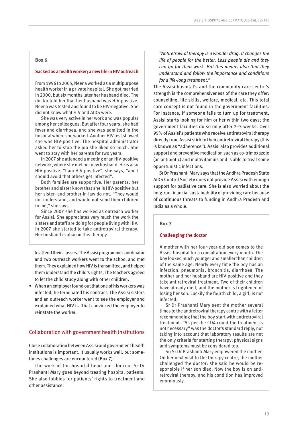## **Box 6**

### **Sacked as a health worker; a new life in HIV outreach**

From 1996 to 2005, Neena worked as a multipurpose health worker in a private hospital. She got married in 2000, but six months later her husband died. The doctor told her that her husband was HIV-positive. Neena was tested and found to be HIV-negative. She did not know what HIV and AIDS were.

She was very active in her work and was popular among her colleagues. But after four years, she had fever and diarrhoea, and she was admitted in the hospital where she worked. Another HIV test showed she was HIV-positive. The hospital administrator asked her to stop the job she liked so much. She went to stay with her parents for two years.

In 2007 she attended a meeting of an HIV-positive network, where she met her new husband. He is also HIV-positive. "I am HIV positive", she says, "and I should avoid that others get infected".

Both families are supportive. Her parents, her brother and sister know that she is HIV-positive but her sister- and brother-in-law do not. "They would not understand, and would not send their children to me," she says.

Since 2007 she has worked as outreach worker for Assisi. She appreciates very much the work the sisters and staff are doing for people living with HIV. In 2007 she started to take antiretroviral therapy. Her husband is also on this therapy.

to attend their classes. The Assisi programme coordinator and two outreach workers went to the school and met them. They explained how HIV is transmitted, and helped them understand the child's rights. The teachers agreed to let the child study along with other children.

• When an employer found out that one of his workers was infected, he terminated his contract. The Assisi sisters and an outreach worker went to see the employer and explained what HIV is. That convinced the employer to reinstate the worker.

## Collaboration with government health institutions

Close collaboration between Assisi and government health institutions is important. It usually works well, but sometimes challenges are encountered (Box 7).

The work of the hospital head and clinician Sr Dr Prashanti Mary goes beyond treating hospital patients. She also lobbies for patients' rights to treatment and other assistance:

*"Antiretroviral therapy is a wonder drug. It changes the life of people for the better. Less people die and they can go for their work. But this means also that they understand and follow the importance and conditions for a life-long treatment."*

The Assisi hospital's and the community care centre's strength is the comprehensiveness of the care they offer: counselling, life skills, welfare, medical, etc. This total care concept is not found in the government facilities. For instance, if someone fails to turn up for treatment, Assisi starts looking for him or her within two days; the government facilities do so only after 2–3 weeks. Over 95% of Assisi's patients who receive antiretroviral therapy directly from Assisi stick to their antiretroviral therapy (this is known as "adherence"). Assisi also provides additional support and preventive medication such as co-trimoxazole (an antibiotic) and multivitamins and is able to treat some opportunistic infections.

Sr Dr Prashanti Mary says that the Andhra Pradesh State AIDS Control Society does not provide Assisi with enough support for palliative care. She is also worried about the long-run financial sustainability of providing care because of continuous threats to funding in Andhra Pradesh and India as a whole.

### **Box 7**

### **Challenging the doctor**

A mother with her four-year-old son comes to the Assisi hospital for a consultation every month. The boy looked much younger and smaller than children of the same age. Nearly every time the boy has an infection: pneumonia, bronchitis, diarrhoea. The mother and her husband are HIV-positive and they take antiretroviral treatment. Two of their children have already died, and the mother is frightened of losing her son. Luckily the fourth child, a girl, is not infected.

Sr Dr Prashanti Mary sent the mother several times to the antiretroviral therapy centre with a letter recommending that the boy start with antiretroviral treatment. "As per the CD4 count the treatment is not necessary" was the doctor's standard reply, not taking into account that laboratory results are not the only criteria for starting therapy: physical signs and symptoms must be considered too.

So Sr Dr Prashanti Mary empowered the mother. On her next visit to the therapy centre, the mother challenged the doctor: she said he would be responsible if her son died. Now the boy is on antiretroviral therapy, and his condition has improved enormously.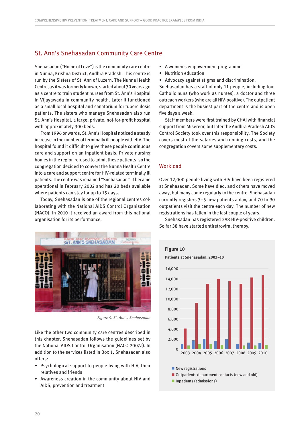## <span id="page-21-0"></span>St. Ann's Snehasadan Community Care Centre

Snehasadan ("Home of Love") is the community care centre in Nunna, Krishna District, Andhra Pradesh. This centre is run by the Sisters of St. Ann of Luzern. The Nunna Health Centre, as it was formerly known, started about 30 years ago as a centre to train student nurses from St. Ann's Hospital in Vijayawada in community health. Later it functioned as a small local hospital and sanatorium for tuberculosis patients. The sisters who manage Snehasadan also run St. Ann's Hospital, a large, private, not-for-profit hospital with approximately 300 beds.

From 1996 onwards, St. Ann's Hospital noticed a steady increase in the number of terminally ill people with HIV. The hospital found it difficult to give these people continuous care and support on an inpatient basis. Private nursing homes in the region refused to admit these patients, so the congregation decided to convert the Nunna Health Centre into a care and support centre for HIV-related terminally ill patients. The centre was renamed "Snehasadan". It became operational in February 2002 and has 20 beds available where patients can stay for up to 15 days.

Today, Snehasadan is one of the regional centres collaborating with the National AIDS Control Organisation (NACO). In 2010 it received an award from this national organisation for its performance.



*Figure 9. St. Ann*'*s Snehasadan*

Like the other two community care centres described in this chapter, Snehasadan follows the guidelines set by the National AIDS Control Organisation (NACO 2007a). In addition to the services listed in Box 1, Snehasadan also offers:

- Psychological support to people living with HIV, their relatives and friends
- Awareness creation in the community about HIV and AIDS, prevention and treatment
- A women's empowerment programme
- Nutrition education
- Advocacy against stigma and discrimination.

Snehasadan has a staff of only 11 people, including four Catholic nuns (who work as nurses), a doctor and three outreach workers (who are all HIV-positive). The outpatient department is the busiest part of the centre and is open five days a week.

Staff members were first trained by CHAI with financial support from Misereor, but later the Andhra Pradesh AIDS Control Society took over this responsibility. The Society covers most of the salaries and running costs, and the congregation covers some supplementary costs.

## **Workload**

Over 12,000 people living with HIV have been registered at Snehasadan. Some have died, and others have moved away, but many come regularly to the centre. Snehasadan currently registers 3–5 new patients a day, and 70 to 90 outpatients visit the centre each day. The number of new registrations has fallen in the last couple of years.

Snehasadan has registered 298 HIV-positive children. So far 38 have started antiretroviral therapy.

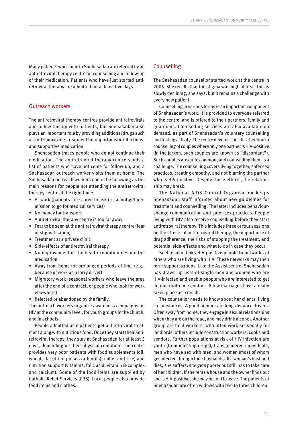Many patients who come to Snehasadan are referred by an antiretroviral therapy centre for counselling and follow-up of their medication. Patients who have just started antiretroviral therapy are admitted for at least five days.

## Outreach workers

The antiretroviral therapy centres provide antiretrovirals and follow this up with patients, but Snehasadan also plays an important role by providing additional drugs such as co-trimoxazole, treatment for opportunistic infections, and supportive medication.

Snehasadan traces people who do not continue their medication. The antiretroviral therapy centre sends a list of patients who have not come for follow-up, and a Snehasadan outreach worker visits them at home. The Snehasadan outreach workers name the following as the main reasons for people not attending the antiretroviral therapy centre at the right time:

- At work (patients are scared to ask or cannot get permission to go for medical services)
- No money for transport
- Antiretroviral therapy centre is too far away
- Fear to be seen at the antiretroviral therapy centre (fear of stigmatisation)
- Treatment at a private clinic
- Side-effects of antiretroviral therapy
- No improvement of the health condition despite the medication
- Away from home for prolonged periods of time (e.g., because of work as a lorry driver)
- Migratory work (seasonal workers who leave the area after the end of a contract, or people who look for work elsewhere)
- Rejected or abandoned by the family.

The outreach workers organize awareness campaigns on HIV at the community level, for youth groups in the church, and in schools.

People admitted as inpatients get antiretroviral treatment along with nutritious food. Once they start their antiretroviral therapy, they stay at Snehasadan for at least 5 days, depending on their physical condition. The centre provides very poor patients with food supplements (oil, wheat, dal (dried pulses or lentils), millet and rice) and nutrition support (vitamins, folic acid, vitamin B-complex and calcium). Some of the food items are supplied by Catholic Relief Services (CRS). Local people also provide food items and clothes.

## Counselling

The Snehasadan counsellor started work at the centre in 2005. She recalls that the stigma was high at first. This is slowly declining, she says, but it remains a challenge with every new patient.

Counselling in various forms is an important component of Snehasadan's work. It is provided to everyone referred to the centre, and is offered to their partners, family and guardians. Counselling services are also available on demand, as part of Snehasadan's voluntary counselling and testing activity. The centre devotes specific attention to counselling of couples where only one partner is HIV-positive (in the jargon, such couples are known as "discordant"). Such couples are quite common, and counselling them is a challenge. The counselling covers living together, safer sex practices, creating empathy, and not blaming the partner who is HIV-positive. Despite these efforts, the relationship may break.

The National AIDS Control Organisation keeps Snehasadan staff informed about new guidelines for treatment and counselling. The latter includes behaviourchange communication and safer-sex practices. People living with HIV also receive counselling before they start antiretroviral therapy. This includes three or four sessions on the effects of antiretroviral therapy, the importance of drug adherence, the risks of stopping the treatment, and potential side-effects and what to do in case they occur.

Snehasadan links HIV-positive people to networks of others who are living with HIV. These networks may then form support groups. Like the Assisi centre, Snehasadan has drawn up lists of single men and women who are HIV-infected and enable people who are interested to get in touch with one another. A few marriages have already taken place as a result.

The counsellor needs to know about her clients' living circumstances. A good number are long-distance drivers. Often away from home, they engage in sexual relationships when they are on the road, and may drink alcohol. Another group are field workers, who often work seasonally for landlords; others include construction workers, cooks and vendors. Further populations at risk of HIV infection are youth (from injecting drugs), transgendered individuals, men who have sex with men, and women (most of whom get infected through their husbands). If a woman's husband dies, she suffers: she gets poorer but still has to take care of her children. If she rents a house and the owner finds out she is HIV-positive, she may be told to leave. The patients of Snehasadan are often widows with two to three children.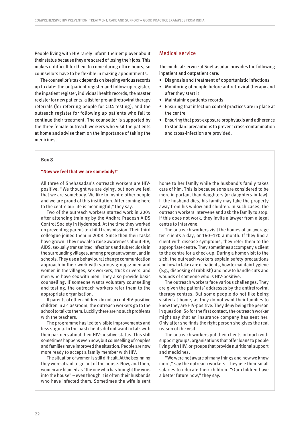People living with HIV rarely inform their employer about their status because they are scared of losing their jobs. This makes it difficult for them to come during office hours, so counsellors have to be flexible in making appointments.

The counsellor's task depends on keeping various records up to date: the outpatient register and follow-up register, the inpatient register, individual health records, the master register for new patients, a list for pre-antiretroviral therapy referrals (for referring people for CD4 testing), and the outreach register for following up patients who fail to continue their treatment. The counsellor is supported by the three female outreach workers who visit the patients at home and advise them on the importance of taking the medicines.

## Medical service

The medical service at Snehasadan provides the following inpatient and outpatient care:

- Diagnosis and treatment of opportunistic infections
- Monitoring of people before antiretroviral therapy and after they start it
- Maintaining patients records
- Ensuring that infection control practices are in place at the centre
- Ensuring that post-exposure prophylaxis and adherence to standard precautions to prevent cross-contamination and cross-infection are provided.

### **Box 8**

### **"Now we feel that we are somebody!"**

All three of Snehasadan's outreach workers are HIVpositive. "We thought we are dying, but now we feel that we are somebody. We like to inspire other people and we are proud of this institution. After coming here to the centre our life is meaningful," they say.

Two of the outreach workers started work in 2005 after attending training by the Andhra Pradesh AIDS Control Society in Hyderabad. At the time they worked on preventing parent-to-child transmission. Their third colleague joined them in 2008. Since then their tasks have grown. They now also raise awareness about HIV, AIDS, sexually transmitted infections and tuberculosis in the surrounding villages, among pregnant women, and in schools. They use a behavioural change communication approach in their work with various groups: men and women in the villages, sex workers, truck drivers, and men who have sex with men. They also provide basic counselling. If someone wants voluntary counselling and testing, the outreach workers refer them to the appropriate organisation.

If parents of other children do not accept HIV-positive children in a classroom, the outreach workers go to the school to talk to them. Luckily there are no such problems with the teachers.

The programme has led to visible improvements and less stigma. In the past clients did not want to talk with their partners about their HIV-positive status. This still sometimes happens even now, but counselling of couples and families have improved the situation. People are now more ready to accept a family member with HIV.

The situation of women is still difficult. At the beginning they were afraid to go out of the house. Now, and then, women are blamed as "the one who has brought the virus into the house" – even though it is often their husbands who have infected them. Sometimes the wife is sent home to her family while the husband's family takes care of him. This is because sons are considered to be more important than daughters (or daughters-in-law). If the husband dies, his family may take the property away from his widow and children. In such cases, the outreach workers intervene and ask the family to stop. If this does not work, they invite a lawyer from a legal centre to intervene.

The outreach workers visit the homes of an average ten clients a day, or 160–170 a month. If they find a client with disease symptoms, they refer them to the appropriate centre. They sometimes accompany a client to the centre for a check-up. During a home visit to the sick, the outreach workers explain safety precautions and how to take care of patients, how to maintain hygiene (e.g., disposing of rubbish) and how to handle cuts and wounds of someone who is HIV-positive.

The outreach workers face various challenges. They are given the patients' addresses by the antiretroviral therapy centres. But some people do not like being visited at home, as they do not want their families to know they are HIV-positive. They deny being the person in question. So for the first contact, the outreach worker might say that an insurance company has sent her. Only after she finds the right person she gives the real reason of the visit.

The outreach workers put their clients in touch with support groups, organisations that offer loans to people living with HIV, or groups that provide nutritional support and medicines.

"We were not aware of many things and now we know more," say the outreach workers. They use their small salaries to educate their children. "Our children have a better future now," they say.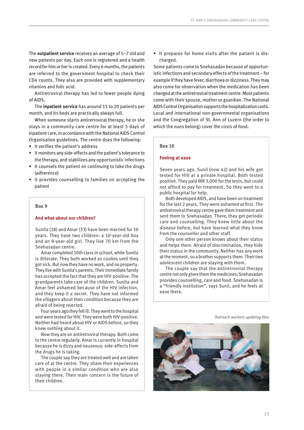The **outpatient service** receives an average of 5–7 old and new patients per day. Each one is registered and a health record for him or her is created. Every 6 months, the patients are referred to the government hospital to check their CD4 counts. They also are provided with supplementary vitamins and folic acid.

Antiretroviral therapy has led to fewer people dying of AIDS.

The **inpatient service** has around 15 to 20 patients per month, and its beds are practically always full.

When someone starts antiretroviral therapy, he or she stays in a community care centre for at least 5 days of inpatient care, in accordance with the National AIDS Control Organisation guidelines. The centre does the following:

- It verifies the patient's address
- It monitors any side-effects and the patient's tolerance to the therapy, and stabilizes any opportunistic infections
- It counsels the patient on continuing to take the drugs (adherence)
- It provides counselling to families on accepting the patient

#### **Box 9**

### **And what about our children?**

Sunita (28) and Amar (33) have been married for 10 years. They have two children: a 10-year-old boy and an 8-year-old girl. They live 70 km from the Snehasadan centre.

Amar completed 10th class in school, while Sunita is illiterate. They both worked as coolies until they got sick. But now they have no work, and no property. They live with Sunita's parents. Their immediate family has accepted the fact that they are HIV-positive. The grandparents take care of the children. Sunita and Amar feel ashamed because of the HIV infection, and they keep it a secret. They have not informed the villagers about their condition because they are afraid of being rejected.

Four years ago they fell ill. They went to the hospital and were tested for HIV. They were both HIV-positive. Neither had heard about HIV or AIDS before, so they knew nothing about it.

Now they are on antiretroviral therapy. Both come to the centre regularly. Amar is currently in hospital because he is dizzy and nauseous: side-effects from the drugs he is taking.

The couple say they are treated well and are taken care of at the centre. They share their experiences with people in a similar condition who are also staying there. Their main concern is the future of their children.

• It prepares for home visits after the patient is discharged.

Some patients come to Snehasadan because of opportunistic infections and secondary effects of the treatment – for example if they have fever, diarrhoea or dizziness. They may also come for observation when the medication has been changed at the antiretroviral treatment centre. Most patients come with their spouse, mother or guardian. The National AIDS Control Organisation supports the hospitalization costs. Local and international non-governmental organisations and the Congregation of St. Ann of Luzern (the order to which the nuns belong) cover the costs of food.

#### **Box 10**

#### **Feeling at ease**

Seven years ago, Sunil (now 42) and his wife got tested for HIV at a private hospital. Both tested positive. They paid INR 3,000 for the tests, but could not afford to pay for treatment. So they went to a public hospital for help.

Both developed AIDS, and have been on treatment for the last 2 years. They were ashamed at first. The antiretroviral therapy centre gave them treatment and sent them to Snehasadan. There, they get periodic care and counselling. They knew little about the disease before, but have learned what they know from the counsellor and other staff.

Only one other person knows about their status and helps them. Afraid of discrimination, they hide their status in the community. Neither has any work at the moment, so a brother supports them. Their two adolescent children are staying with them.

The couple say that the antiretroviral therapy centre not only gives them the medicines; Snehasadan provides counselling, care and food. Snehasadan is a "friendly institution", says Sunil, and he feels at ease there.

*Outreach workers updating files*

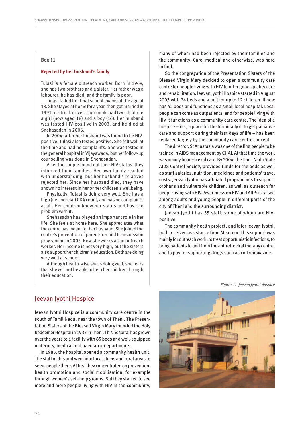#### <span id="page-25-0"></span>**Box 11**

### **Rejected by her husband's family**

Tulasi is a female outreach worker. Born in 1969, she has two brothers and a sister. Her father was a labourer; he has died, and the family is poor.

Tulasi failed her final school exams at the age of 18. She stayed at home for a year, then got married in 1991 to a truck driver. The couple had two children: a girl (now aged 18) and a boy (16). Her husband was tested HIV-positive in 2003, and he died at Snehasadan in 2006.

In 2004, after her husband was found to be HIVpositive, Tulasi also tested positive. She felt well at the time and had no complaints. She was tested in the general hospital in Vijayawada, but her follow-up counselling was done in Snehasadan.

After the couple found out their HIV status, they informed their families. Her own family reacted with understanding, but her husband's relatives rejected her. Since her husband died, they have shown no interest in her or her children's wellbeing.

Physically, Tulasi is doing very well. She has a high (i.e., normal) CD4 count, and has no complaints at all. Her children know her status and have no problem with it.

Snehasadan has played an important role in her life. She feels at home here. She appreciates what the centre has meant for her husband. She joined the centre's prevention of parent-to-child transmission programme in 2005. Now she works as an outreach worker. Her income is not very high, but the sisters also support her children's education. Both are doing very well at school.

Although health-wise she is doing well, she fears that she will not be able to help her children through their education.

many of whom had been rejected by their families and the community. Care, medical and otherwise, was hard to find.

So the congregation of the Presentation Sisters of the Blessed Virgin Mary decided to open a community care centre for people living with HIV to offer good-quality care and rehabilitation. Jeevan Jyothi Hospice started in August 2003 with 24 beds and a unit for up to 12 children. It now has 42 beds and functions as a small local hospital. Local people can come as outpatients, and for people living with HIV it functions as a community care centre. The idea of a hospice – i.e., a place for the terminally ill to get palliative care and support during their last days of life – has been replaced largely by the community care centre concept.

The director, Sr Anastasia was one of the first people to be trained in AIDS management by CHAI. At that time the work was mainly home-based care. By 2004, the Tamil Nadu State AIDS Control Society provided funds for the beds as well as staff salaries, nutrition, medicines and patients' travel costs. Jeevan Jyothi has affiliated programmes to support orphans and vulnerable children, as well as outreach for people living with HIV. Awareness on HIV and AIDS is raised among adults and young people in different parts of the city of Theni and the surrounding district.

Jeevan Jyothi has 35 staff, some of whom are HIVpositive.

The community health project, and later Jeevan Jyothi, both received assistance from Misereor. This support was mainly for outreach work, to treat opportunistic infections, to bring patients to and from the antiretroviral therapy centre, and to pay for supporting drugs such as co-trimoxazole.

*Figure 11. Jeevan Jyothi Hospice*

## Jeevan Jyothi Hospice

Jeevan Jyothi Hospice is a community care centre in the south of Tamil Nadu, near the town of Theni. The Presentation Sisters of the Blessed Virgin Mary founded the Holy Redeemer Hospital in 1933 in Theni. This hospital has grown over the years to a facility with 85 beds and well-equipped maternity, medical and paediatric departments.

In 1985, the hospital opened a community health unit. The staff of this unit went into local slums and rural areas to serve people there. At first they concentrated on prevention, health promotion and social mobilisation, for example through women's self-help groups. But they started to see more and more people living with HIV in the community,

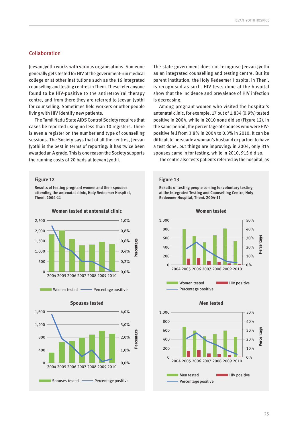## Collaboration

Jeevan Jyothi works with various organisations. Someone generally gets tested for HIV at the government-run medical college or at other institutions such as the 16 integrated counselling and testing centres in Theni. These refer anyone found to be HIV-positive to the antiretroviral therapy centre, and from there they are referred to Jeevan Jyothi for counselling. Sometimes field workers or other people living with HIV identify new patients.

The Tamil Nadu State AIDS Control Society requires that cases be reported using no less than 10 registers. There is even a register on the number and type of counselling sessions. The Society says that of all the centres, Jeevan Jyothi is the best in terms of reporting: it has twice been awarded an A grade. This is one reason the Society supports the running costs of 20 beds at Jeevan Jyothi.

#### **Figure 12**

**Results of testing pregnant women and their spouses attending the antenatal clinic, Holy Redeemer Hospital, Theni, 2004-11**

**Women tested at antenatal clinic**



Women tested **Women tested** Percentage positive



The state government does not recognise Jeevan Jyothi as an integrated counselling and testing centre. But its parent institution, the Holy Redeemer Hospital in Theni, is recognised as such. HIV tests done at the hospital show that the incidence and prevalence of HIV infection is decreasing.

Among pregnant women who visited the hospital's antenatal clinic, for example, 17 out of 1,834 (0.9%) tested positive in 2004, while in 2010 none did so (Figure 12). In the same period, the percentage of spouses who were HIVpositive fell from 3.8% in 2004 to 0.3% in 2010. It can be difficult to persuade a woman's husband or partner to have a test done, but things are improving: in 2004, only 315 spouses came in for testing, while in 2010, 915 did so.

The centre also tests patients referred by the hospital, as

#### **Figure 13**

**Results of testing people coming for voluntary testing at the Integrated Testing and Counselling Centre, Holy Redeemer Hospital, Theni. 2004-11**





2004 2005 2006 2007 2008 2009 2010

Percentage positive

Men tested **HIV** positive





 $0%$ 

**Percentage**

Percent

tag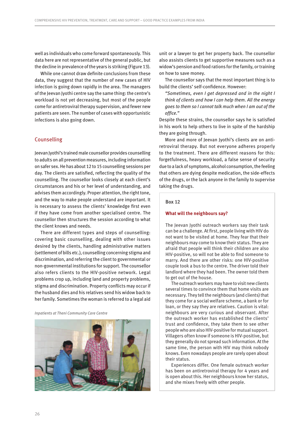well as individuals who come forward spontaneously. This data here are not representative of the general public, but the decline in prevalence of the years is striking (Figure 13).

While one cannot draw definite conclusions from these data, they suggest that the number of new cases of HIV infection is going down rapidly in the area. The managers of the Jeevan Jyothi centre say the same thing: the centre's workload is not yet decreasing, but most of the people come for antiretroviral therapy supervision, and fewer new patients are seen. The number of cases with opportunistic infections is also going down.

## Counselling

Jeevan Jyothi's trained male counsellor provides counselling to adults on all prevention measures, including information on safer sex. He has about 12 to 15 counselling sessions per day. The clients are satisfied, reflecting the quality of the counselling. The counsellor looks closely at each client's circumstances and his or her level of understanding, and advises them accordingly. Proper attention, the right tone, and the way to make people understand are important. It is necessary to assess the clients' knowledge first even if they have come from another specialised centre. The counsellor then structures the session according to what the client knows and needs.

There are different types and steps of counselling: covering basic counselling, dealing with other issues desired by the clients, handling administrative matters (settlement of bills etc.), counselling concerning stigma and discrimination, and referring the client to governmental or non-governmental institutions for support. The counsellor also refers clients to the HIV-positive network. Legal problems crop up, including land and property problems, stigma and discrimination. Property conflicts may occur if the husband dies and his relatives send his widow back to her family. Sometimes the woman is referred to a legal aid

*Inpatients at Theni Community Care Centre*



unit or a lawyer to get her property back. The counsellor also assists clients to get supportive measures such as a widow's pension and food rations for the family, or training on how to save money.

The counsellor says that the most important thing is to build the clients' self-confidence. However:

*"Sometimes, even I get depressed and in the night I think of clients and how I can help them. All the energy goes to them so I cannot talk much when I am out of the office."*

Despite these strains, the counsellor says he is satisfied in his work to help others to live in spite of the hardship they are going through.

More and more of Jeevan Jyothi's clients are on antiretroviral therapy. But not everyone adheres properly to the treatment. There are different reasons for this: forgetfulness, heavy workload, a false sense of security due to a lack of symptoms, alcohol consumption, the feeling that others are dying despite medication, the side-effects of the drugs, or the lack anyone in the family to supervise taking the drugs.

## **Box 12**

### **What will the neighbours say?**

The Jeevan Jyothi outreach workers say their task can be a challenge. At first, people living with HIV do not want to be visited at home. They fear that their neighbours may come to know their status. They are afraid that people will think their children are also HIV-positive, so will not be able to find someone to marry. And there are other risks: one HIV-positive couple took a bus to the centre. The driver told their landlord where they had been. The owner told them to get out of the house.

The outreach workers may have to visit new clients several times to convince them that home visits are necessary. They tell the neighbours (and clients) that they come for a social welfare scheme, a bank or for loan, or they say they are relatives. Caution is vital: neighbours are very curious and observant. After the outreach worker has established the clients' trust and confidence, they take them to see other people who are also HIV-positive for mutual support. Villagers often know if someone is HIV-positive, but they generally do not spread such information. At the same time, the person with HIV may think nobody knows. Even nowadays people are rarely open about their status.

Experiences differ. One female outreach worker has been on antiretroviral therapy for 4 years and is open about this. Her neighbours know her status, and she mixes freely with other people.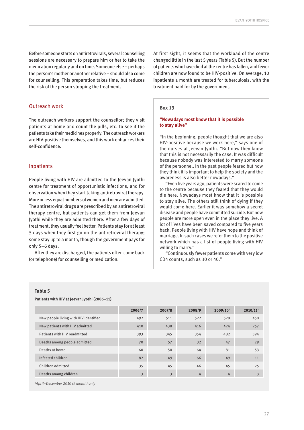Before someone starts on antiretrovirals, several counselling sessions are necessary to prepare him or her to take the medication regularly and on time. Someone else – perhaps the person's mother or another relative – should also come for counselling. This preparation takes time, but reduces the risk of the person stopping the treatment.

## Outreach work

The outreach workers support the counsellor; they visit patients at home and count the pills, etc. to see if the patients take their medicines properly. The outreach workers are HIV-positive themselves, and this work enhances their self-confidence.

## Inpatients

People living with HIV are admitted to the Jeevan Jyothi centre for treatment of opportunistic infections, and for observation when they start taking antiretroviral therapy. More or less equal numbers of women and men are admitted. The antiretroviral drugs are prescribed by an antiretroviral therapy centre, but patients can get them from Jeevan Jyothi while they are admitted there. After a few days of treatment, they usually feel better. Patients stay for at least 5 days when they first go on the antiretroviral therapy; some stay up to a month, though the government pays for only 5–6 days.

After they are discharged, the patients often come back (or telephone) for counselling or medication.

At first sight, it seems that the workload of the centre changed little in the last 5 years (Table 5). But the number of patients who have died at the centre has fallen, and fewer children are now found to be HIV-positive. On average, 10 inpatients a month are treated for tuberculosis, with the treatment paid for by the government.

#### **Box 13**

## **"Nowadays most know that it is possible to stay alive"**

"In the beginning, people thought that we are also HIV-positive because we work here," says one of the nurses at Jeevan Jyothi. "But now they know that this is not necessarily the case. It was difficult because nobody was interested to marry someone of the personnel. In the past people feared but now they think it is important to help the society and the awareness is also better nowadays."

"Even five years ago, patients were scared to come to the centre because they feared that they would die here. Nowadays most know that it is possible to stay alive. The others still think of dying if they would come here. Earlier it was somehow a secret disease and people have committed suicide. But now people are more open even in the place they live. A lot of lives have been saved compared to five years back. People living with HIV have hope and think of marriage. In such cases we refer them to the positive network which has a list of people living with HIV willing to marry."

"Continuously fewer patients come with very low CD4 counts, such as 30 or 40."

## **Table 5**

**Patients with HIV at Jeevan Jyothi (2006–11)**

|                                       | 2006/7 | 2007/8 | 2008/9 | 2009/10 <sup>1</sup> | 2010/11 <sup>1</sup> |
|---------------------------------------|--------|--------|--------|----------------------|----------------------|
| New people living with HIV identified | 492    | 511    | 522    | 528                  | 450                  |
| New patients with HIV admitted        | 410    | 438    | 416    | 424                  | 257                  |
| Patients with HIV readmitted          | 393    | 345    | 354    | 482                  | 394                  |
| Deaths among people admitted          | 70     | 57     | 32     | 47                   | 29                   |
| Deaths at home                        | 60     | 50     | 64     | 81                   | 53                   |
| Infected children                     | 82     | 49     | 66     | 49                   | 11                   |
| Children admitted                     | 35     | 45     | 46     | 45                   | 25                   |
| Deaths among children                 | 3      | 3      | 4      | 4                    | 3                    |

*1April–December 2010 (9 month) only*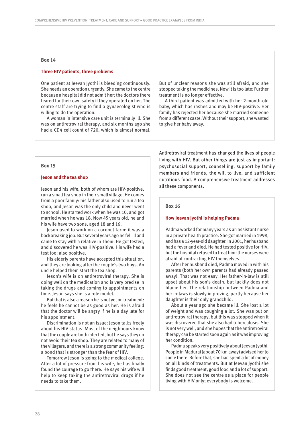#### **Box 14**

#### **Three HIV patients, three problems**

One patient at Jeevan Jyothi is bleeding continuously. She needs an operation urgently. She came to the centre because a hospital did not admit her: the doctors there feared for their own safety if they operated on her. The centre staff are trying to find a gynaecologist who is willing to do the operation.

A woman in intensive care unit is terminally ill. She was on antiretroviral therapy, and six months ago she had a CD4 cell count of 720, which is almost normal. But of unclear reasons she was still afraid, and she stopped taking the medicines. Now it is too late: Further treatment is no longer effective.

A third patient was admitted with her 2-month-old baby, which has rashes and may be HIV-positive. Her family has rejected her because she married someone from a different caste. Without their support, she wanted to give her baby away.

## **Box 15**

#### **Jeson and the tea shop**

Jeson and his wife, both of whom are HIV-positive, run a small tea shop in their small village. He comes from a poor family: his father also used to run a tea shop, and Jeson was the only child and never went to school. He started work when he was 10, and got married when he was 18. Now 45 years old, he and his wife have two sons, aged 18 and 16.

Jeson used to work on a coconut farm: it was a backbreaking job. But several years ago he fell ill and came to stay with a relative in Theni. He got tested, and discovered he was HIV-positive. His wife had a test too: also positive.

His elderly parents have accepted this situation, and they are looking after the couple's two boys. An uncle helped them start the tea shop.

Jeson's wife is on antiretroviral therapy. She is doing well on the medication and is very precise in taking the drugs and coming to appointments on time. Jeson says she is a role model.

But that is also a reason he is not yet on treatment: he feels he cannot be as good as her. He is afraid that the doctor will be angry if he is a day late for his appointment.

Discrimination is not an issue: Jeson talks freely about his HIV status. Most of the neighbours know that the couple are both infected, but he says they do not avoid their tea shop. They are related to many of the villagers, and there is a strong community feeling: a bond that is stronger than the fear of HIV.

Tomorrow Jeson is going to the medical college. After a lot of pressure from his wife, he has finally found the courage to go there. He says his wife will help to keep taking the antiretroviral drugs if he needs to take them.

Antiretroviral treatment has changed the lives of people living with HIV. But other things are just as important: psychosocial support, counselling, support by family members and friends, the will to live, and sufficient nutritious food. A comprehensive treatment addresses all these components.

#### **Box 16**

#### **How Jeevan Jyothi is helping Padma**

Padma worked for many years as an assistant nurse in a private health practice. She got married in 1998, and has a 12-year-old daughter. In 2001, her husband had a fever and died. He had tested positive for HIV, but the hospital refused to treat him: the nurses were afraid of contracting HIV themselves.

After her husband died, Padma moved in with his parents (both her own parents had already passed away). That was not easy. Her father-in-law is still upset about his son's death, but luckily does not blame her. The relationship between Padma and her in-laws is slowly improving, partly because her daughter is their only grandchild.

About a year ago she became ill. She lost a lot of weight and was coughing a lot. She was put on antiretroviral therapy, but this was stopped when it was discovered that she also had tuberculosis. She is not very well, and she hopes that the antiretroviral therapy can be started soon again as it was improving her condition.

Padma speaks very positively about Jeevan Jyothi. People in Madurai (about 70 km away) advised her to come there. Before that, she had spent a lot of money on all kinds of treatments. But at Jeevan Jyothi she finds good treatment, good food and a lot of support. She does not see the centre as a place for people living with HIV only; everybody is welcome.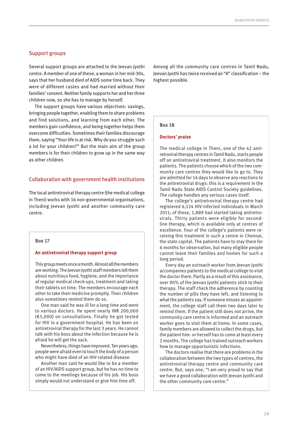## Support groups

Several support groups are attached to the Jeevan Jyothi centre. A member of one of these, a woman in her mid-30s, says that her husband died of AIDS some time back. They were of different castes and had married without their families' consent. Neither family supports her and her three children now, so she has to manage by herself.

The support groups have various objectives: savings, bringing people together, enabling them to share problems and find solutions, and learning from each other. The members gain confidence, and being together helps them overcome difficulties. Sometimes their families discourage them, saying "Your life is at risk. Why do you struggle such a lot for your children?" But the main aim of the group members is for their children to grow up in the same way as other children.

## Collaboration with government health institutions

The local antiretroviral therapy centre (the medical college in Theni) works with 16 non-governmental organisations, including Jeevan Jyothi and another community care centre.

#### **Box 17**

#### **An antiretroviral therapy support group**

This group meets once a month. Almost all the members are working. The Jeevan Jyothi staff members tell them about nutritious food, hygiene, and the importance of regular medical check-ups, treatment and taking their tablets on time. The members encourage each other to take their medicine promptly. Their children also sometimes remind them do so.

One man said he was ill for a long time and went to various doctors. He spent nearly INR 200,000 (€5,000) on consultations. Finally he got tested for HIV in a government hospital. He has been on antiretroviral therapy for the last 3 years. He cannot talk with his boss about the infection because he is afraid he will get the sack.

Nevertheless, things have improved. Ten years ago, people were afraid even to touch the body of a person who might have died of an HIV-related disease.

Another man said he would like to be a member of an HIV/AIDS support group, but he has no time to come to the meetings because of his job. His boss simply would not understand or give him time off.

Among all the community care centres in Tamil Nadu, Jeevan Jyothi has twice received an "A" classification – the highest possible.

## **Box 18**

### **Doctors' praise**

The medical college in Theni, one of the 42 antiretroviral therapy centres in Tamil Nadu, starts people off on antiretroviral treatment. It also monitors the patients. The patients choose which of the two community care centres they would like to go to. They are admitted for 14 days to observe any reactions to the antiretroviral drugs: this is a requirement in the Tamil Nadu State AIDS Control Society guidelines. The college handles any serious cases itself.

The college's antiretroviral therapy centre had registered 6,124 HIV-infected individuals in March 2011; of these, 1,889 had started taking antiretrovirals. Thirty patients were eligible for secondline therapy, which is available only at centres of excellence. Four of the college's patients were receiving this treatment in such a centre in Chennai, the state capital. The patients have to stay there for 6 months for observation, but many eligible people cannot leave their families and homes for such a long period.

Every day an outreach worker from Jeevan Jyothi accompanies patients to the medical college to visit the doctor there. Partly as a result of this assistance, over 90% of the Jeevan Jyothi patients stick to their therapy. The staff check the adherence by counting the number of pills they have left, and listening to what the patients say. If someone misses an appointment, the college staff call them two days later to remind them. If the patient still does not arrive, the community care centre is informed and an outreach worker goes to visit them at home. In some cases, family members are allowed to collect the drugs, but the patient him- or herself has to come at least every 2 months. The college has trained outreach workers how to manage opportunistic infections.

The doctors realise that there are problems in the collaboration between the two types of centres, the antiretroviral therapy centre and community care centre. But, says one, "I am very proud to say that we have a good collaboration with Jeevan Jyothi and the other community care centre."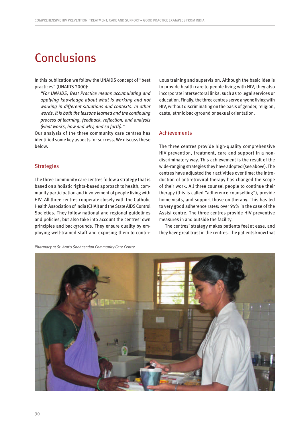# <span id="page-31-0"></span>Conclusions

In this publication we follow the UNAIDS concept of "best practices" (UNAIDS 2000):

*"For UNAIDS, Best Practice means accumulating and applying knowledge about what is working and not working in different situations and contexts. In other words, it is both the lessons learned and the continuing process of learning, feedback, reflection, and analysis (what works, how and why, and so forth)."*

Our analysis of the three community care centres has identified some key aspects for success. We discuss these below.

## **Strategies**

The three community care centres follow a strategy that is based on a holistic rights-based approach to health, community participation and involvement of people living with HIV. All three centres cooperate closely with the Catholic Health Association of India (CHAI) and the State AIDS Control Societies. They follow national and regional guidelines and policies, but also take into account the centres' own principles and backgrounds. They ensure quality by employing well-trained staff and exposing them to continuous training and supervision. Although the basic idea is to provide health care to people living with HIV, they also incorporate intersectoral links, such as to legal services or education. Finally, the three centres serve anyone living with HIV, without discriminating on the basis of gender, religion, caste, ethnic background or sexual orientation.

## Achievements

The three centres provide high-quality comprehensive HIV prevention, treatment, care and support in a nondiscriminatory way. This achievement is the result of the wide-ranging strategies they have adopted (see above). The centres have adjusted their activities over time: the introduction of antiretroviral therapy has changed the scope of their work. All three counsel people to continue their therapy (this is called "adherence counselling"), provide home visits, and support those on therapy. This has led to very good adherence rates: over 95% in the case of the Assisi centre. The three centres provide HIV preventive measures in and outside the facility.

The centres' strategy makes patients feel at ease, and they have great trust in the centres. The patients know that



*Pharmacy at St. Ann's Snehasadan Community Care Centre*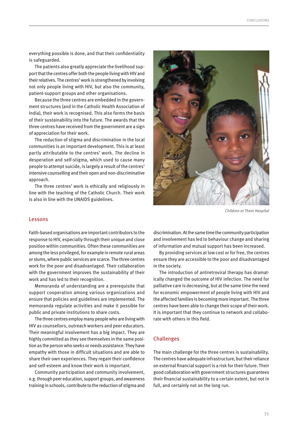everything possible is done, and that their confidentiality is safeguarded.

The patients also greatly appreciate the livelihood support that the centres offer both the people living with HIV and their relatives. The centres' work is strengthened by involving not only people living with HIV, but also the community, patient-support groups and other organisations.

Because the three centres are embedded in the government structures (and in the Catholic Health Association of India), their work is recognised. This also forms the basis of their sustainability into the future. The awards that the three centres have received from the government are a sign of appreciation for their work.

The reduction of stigma and discrimination in the local communities is an important development. This is at least partly attributable to the centres' work. The decline in desperation and self-stigma, which used to cause many people to attempt suicide, is largely a result of the centres' intensive counselling and their open and non-discriminative approach.

The three centres' work is ethically and religiously in line with the teaching of the Catholic Church. Their work is also in line with the UNAIDS guidelines.



*Children at Theni Hospital*

### Lessons

Faith-based organisations are important contributors to the response to HIV, especially through their unique and close position within communities. Often these communities are among the less privileged, for example in remote rural areas or slums, where public services are scarce. The three centres work for the poor and disadvantaged. Their collaboration with the government improves the sustainability of their work and has led to their recognition.

Memoranda of understanding are a prerequisite that support cooperation among various organizations and ensure that policies and guidelines are implemented. The memoranda regulate activities and make it possible for public and private institutions to share costs.

The three centres employ many people who are living with HIV as counsellors, outreach workers and peer educators. Their meaningful involvement has a big impact. They are highly committed as they see themselves in the same position as the person who seeks or needs assistance. They have empathy with those in difficult situations and are able to share their own experiences. They regain their confidence and self-esteem and know their work is important.

Community participation and community involvement, e.g. through peer education, support groups, and awareness training in schools, contribute to the reduction of stigma and

discrimination. At the same time the community participation and involvement has led to behaviour change and sharing of information and mutual support has been increased.

By providing services at low cost or for free, the centres ensure they are accessible to the poor and disadvantaged in the society.

The introduction of antiretroviral therapy has dramatically changed the outcome of HIV infection. The need for palliative care is decreasing, but at the same time the need for economic empowerment of people living with HIV and the affected families is becoming more important. The three centres have been able to change their scope of their work. It is important that they continue to network and collaborate with others in this field.

## Challenges

The main challenge for the three centres is sustainability. The centres have adequate infrastructure, but their reliance on external financial support is a risk for their future. Their good collaboration with government structures guarantees their financial sustainability to a certain extent, but not in full, and certainly not on the long run.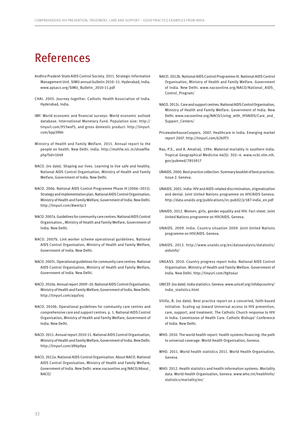# <span id="page-33-0"></span>References

- Andhra Pradesh State AIDS Control Society. 2011. Strategic Information Management Unit. SIMU annual bulletin 2010–11. Hyderabad, India. [www.apsacs.org/SIMU\\_Bulletin\\_2010-11.pdf](http://www.apsacs.org/SIMU_Bulletin_2010-11.pdf)
- CHAI. 2005. Journey together. Catholic Health Association of India. Hyderabad, India.
- IMF. World economic and financial surveys: World economic outlook database. International Monetary Fund. Population size: [http://](http://tinyurl.com/953wxf5) [tinyurl.com/953wxf5,](http://tinyurl.com/953wxf5) and gross domestic product: [http://tinyurl.](http://tinyurl.com/bpp39bh) [com/bpp39bh](http://tinyurl.com/bpp39bh)
- Ministry of Health and Family Welfare. 2011. Annual report to the people on health. New Delhi. India. [http://mohfw.nic.in/showfile.](http://mohfw.nic.in/showfile.php?lid=1049) [php?lid=1049](http://mohfw.nic.in/showfile.php?lid=1049)
- NACO. (no date). Shaping our lives. Learning to live safe and healthy. National AIDS Control Organisation, Ministry of Health and Family Welfare, Government of India. New Delhi.
- NACO. 2006. National AIDS Control Programme Phase III (2006–2011). Strategy and implementation plan. National AIDS Control Organisation, Ministry of Health and Family Welfare, Government of India. New Delhi. <http://tinyurl.com/8wm5jc3>
- NACO. 2007a. Guidelines for community care centres. National AIDS Control Organisation., Ministry of Health and Family Welfare, Government of India. New Delhi.
- NACO. 2007b. Link worker scheme operational guidelines. National AIDS Control Organisation, Ministry of Health and Family Welfare, Government of India. New Delhi.
- NACO. 2007c. Operational guidelines for community care centres. National AIDS Control Organisation, Ministry of Health and Family Welfare, Government of India. New Delhi.
- NACO. 2010a. Annual report 2009–10. National AIDS Control Organisation, Ministry of Health and Family Welfare, Government of India. New Delhi. <http://tinyurl.com/aqufxnj>
- NACO. 2010b. Operational guidelines for community care centres and comprehensive care and support centres. p. 1. National AIDS Control Organisation, Ministry of Health and Family Welfare, Government of India. New Delhi.
- NACO. 2011. Annual report 2010-11. National AIDS Control Organisation, Ministry of Health and Family Welfare, Government of India. New Delhi. <http://tinyurl.com/d96p9pa>
- NACO. 2012a. National AIDS Control Organisation. About NACO. National AIDS Control Organisation, Ministry of Health and Family Welfare, Government of India. New Delhi. [www.nacoonline.org/NACO/About\\_](http://www.nacoonline.org/NACO/About_NACO/) [NACO/](http://www.nacoonline.org/NACO/About_NACO/)
- NACO. 2012b. National AIDS Control Programme III. National AIDS Control Organisation, Ministry of Health and Family Welfare. Government of India. New Delhi. [www.nacoonline.org/NACO/National\\_AIDS\\_](http://www.nacoonline.org/NACO/National_AIDS_Control_Program/) [Control\\_Program/](http://www.nacoonline.org/NACO/National_AIDS_Control_Program/)
- NACO. 2012c. Care and support centres. National AIDS Control Organisation, Ministry of Health and Family Welfare. Government of India. New Delhi. [www.nacoonline.org/NACO/Living\\_with\\_HIVAIDS/Care\\_and\\_](http://www.nacoonline.org/NACO/Living_with_HIVAIDS/Care_and_Support_Centers/) [Support\\_Centers/](http://www.nacoonline.org/NACO/Living_with_HIVAIDS/Care_and_Support_Centers/)
- PricewaterhouseCoopers. 2007. Healthcare in India. Emerging market report 2007.<http://tinyurl.com/62klff3>
- Rao, P.S., and A. Amalraij. 1994. Maternal mortality in southern India. Tropical Geographical Medicine 46(5): 302–4. [www.ncbi.nlm.nih.](http://www.ncbi.nlm.nih.gov/pubmed/7855917) [gov/pubmed/7855917](http://www.ncbi.nlm.nih.gov/pubmed/7855917)
- UNAIDS. 2000. Best practice collection. Summary booklet of best practices. Issue 2. Geneva.
- UNAIDS. 2001. India: HIV and AIDS-related discrimination, stigmatization and denial. Joint United Nations programme on HIV/AIDS Geneva. [http://data.unaids.org/publications/irc-pub02/jc587-india\\_en.pdf](http://data.unaids.org/publications/irc-pub02/jc587-india_en.pdf)
- UNAIDS. 2012. Women, girls, gender equality and HIV. Fact sheet. Joint United Nations programme on HIV/AIDS. Geneva.
- UNAIDS. 2009. India. Country situation 2009. Joint United Nations programme on HIV/AIDS. Geneva.
- UNAIDS. 2013. [http://www.unaids.org/en/dataanalysis/datatools/](http://www.unaids.org/en/dataanalysis/datatools/aidsinfo/) [aidsinfo/](http://www.unaids.org/en/dataanalysis/datatools/aidsinfo/)
- UNGASS. 2010. Country progress report India. National AIDS Control Organisation. Ministry of Health and Family Welfare. Government of India. New Delhi. <http://tinyurl.com/9ghs6ur>
- UNICEF. (no date). India statistics. Geneva. [www.unicef.org/infobycountry/](http://www.unicef.org/infobycountry/india_statistics.html) [india\\_statistics.html](http://www.unicef.org/infobycountry/india_statistics.html)
- Vitillo, B. (no date). Best practice report on a concerted, faith-based initiative. Scaling up toward Universal access to HIV prevention, care, support, and treatment. The Catholic Church response to HIV in India. Commission of Health Care. Catholic Bishops' Conference of India. New Delhi.
- WHO. 2010. The world health report: health systems financing: the path to universal coverage. World Health Organisation, Geneva.
- WHO. 2011. World health statistics 2011. World Health Organisation, Geneva.
- WHO. 2012. Health statistics and health information systems. Mortality data. World Health Organisation, Geneva. [www.who.int/healthinfo/](http://www.who.int/healthinfo/statistics/mortality/en/) [statistics/mortality/en/](http://www.who.int/healthinfo/statistics/mortality/en/)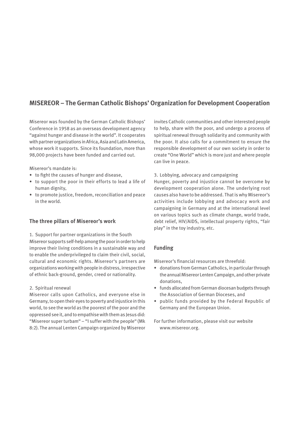## **MISEREOR – The German Catholic Bishops' Organization for Development Cooperation**

Misereor was founded by the German Catholic Bishops' Conference in 1958 as an overseas development agency "against hunger and disease in the world". It cooperates with partner organizations in Africa, Asia and Latin America, whose work it supports. Since its foundation, more than 98,000 projects have been funded and carried out.

Misereor's mandate is:

- to fight the causes of hunger and disease,
- to support the poor in their efforts to lead a life of human dignity,
- to promote justice, freedom, reconciliation and peace in the world.

## **The three pillars of Misereor's work**

1. Support for partner organizations in the South Misereor supports self-help among the poor in order to help improve their living conditions in a sustainable way and to enable the underprivileged to claim their civil, social, cultural and economic rights. Misereor's partners are organizations working with people in distress, irrespective of ethnic back-ground, gender, creed or nationality.

## 2. Spiritual renewal

Misereor calls upon Catholics, and everyone else in Germany, to open their eyes to poverty and injustice in this world, to see the world as the poorest of the poor and the oppressed see it, and to empathise with them as Jesus did: "Misereor super turbam" – "I suffer with the people" (Mk 8:2). The annual Lenten Campaign organized by Misereor

invites Catholic communities and other interested people to help, share with the poor, and undergo a process of spiritual renewal through solidarity and community with the poor. It also calls for a commitment to ensure the responsible development of our own society in order to create "One World" which is more just and where people can live in peace.

3. Lobbying, advocacy and campaigning

Hunger, poverty and injustice cannot be overcome by development cooperation alone. The underlying root causes also have to be addressed. That is why Misereor's activities include lobbying and advocacy work and campaigning in Germany and at the international level on various topics such as climate change, world trade, debt relief, HIV/AIDS, intellectual property rights, "fair play" in the toy industry, etc.

## **Funding**

Misereor's financial resources are threefold:

- donations from German Catholics, in particular through the annual Misereor Lenten Campaign, and other private donations,
- funds allocated from German diocesan budgets through the Association of German Dioceses, and
- public funds provided by the Federal Republic of Germany and the European Union.

For further information, please visit our website [www.misereor.org.](http://www.misereor.org)